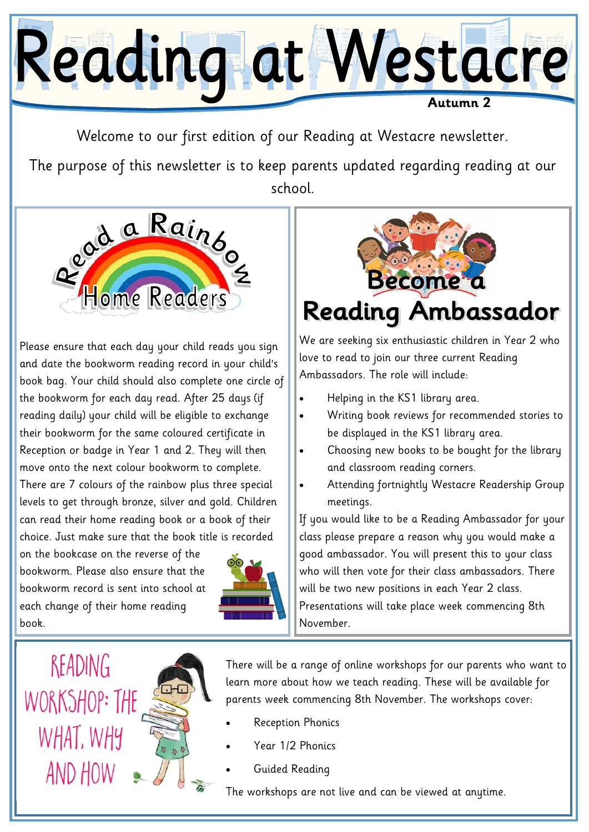

Welcome to our first edition of our Reading at Westacre newsletter.

The purpose of this newsletter is to keep parents updated regarding reading at our school.



Please ensure that each day your child reads you sign and date the bookworm reading record in your child's book bag. Your child should also complete one circle of the bookworm for each day read. After 25 days (if reading daily) your child will be eligible to exchange their bookworm for the same coloured certificate in Reception or badge in Year 1 and 2. They will then move onto the next colour bookworm to complete. There are 7 colours of the rainbow plus three special levels to get through bronze, silver and gold. Children can read their home reading book or a book of their choice. Just make sure that the book title is recorded

on the bookcase on the reverse of the bookworm. Please also ensure that the bookworm record is sent into school at each change of their home reading book.





We are seeking six enthusiastic children in Year 2 who love to read to join our three current Reading Ambassadors. The role will include:

- Helping in the KS1 library area.
- Writing book reviews for recommended stories to be displayed in the KS1 library area.
- Choosing new books to be bought for the library and classroom reading corners.
- Attending fortnightly Westacre Readership Group meetings.

If you would like to be a Reading Ambassador for your class please prepare a reason why you would make a good ambassador. You will present this to your class who will then vote for their class ambassadors. There will be two new positions in each Year 2 class. Presentations will take place week commencing 8th November.

READING WORKSHOP: THE WHAT, WHY AND HOW

There will be a range of online workshops for our parents who want to learn more about how we teach reading. These will be available for parents week commencing 8th November. The workshops cover:

- Reception Phonics
- Year 1/2 Phonics
- Guided Reading

The workshops are not live and can be viewed at anytime.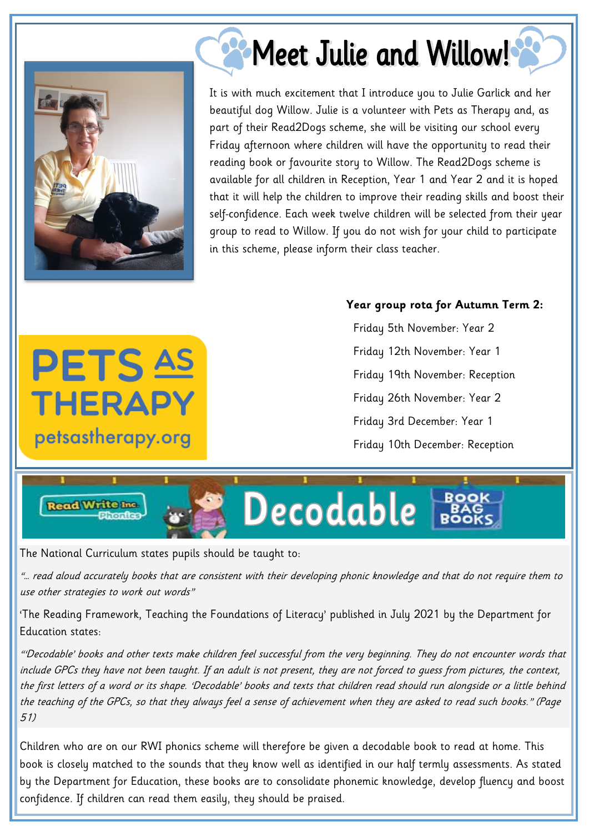

**PETS AS** 

THERAPY

petsastherapy.org

**Read Write Inc.** 

## 2 Meet Julie and Willow!

It is with much excitement that I introduce you to Julie Garlick and her beautiful dog Willow. Julie is a volunteer with Pets as Therapy and, as part of their Read2Dogs scheme, she will be visiting our school every Friday afternoon where children will have the opportunity to read their reading book or favourite story to Willow. The Read2Dogs scheme is available for all children in Reception, Year 1 and Year 2 and it is hoped that it will help the children to improve their reading skills and boost their self-confidence. Each week twelve children will be selected from their year group to read to Willow. If you do not wish for your child to participate in this scheme, please inform their class teacher.

## **Year group rota for Autumn Term 2:**

 Friday 5th November: Year 2 Friday 12th November: Year 1 Friday 19th November: Reception Friday 26th November: Year 2 Friday 3rd December: Year 1 Friday 10th December: Reception

**BOOK** 

Decodable

The National Curriculum states pupils should be taught to:

"… read aloud accurately books that are consistent with their developing phonic knowledge and that do not require them to use other strategies to work out words"

'The Reading Framework, Teaching the Foundations of Literacy' published in July 2021 by the Department for Education states:

"'Decodable' books and other texts make children feel successful from the very beginning. They do not encounter words that include GPCs they have not been taught. If an adult is not present, they are not forced to guess from pictures, the context, the first letters of a word or its shape. 'Decodable' books and texts that children read should run alongside or a little behind the teaching of the GPCs, so that they always feel a sense of achievement when they are asked to read such books." (Page 51)

Children who are on our RWI phonics scheme will therefore be given a decodable book to read at home. This book is closely matched to the sounds that they know well as identified in our half termly assessments. As stated by the Department for Education, these books are to consolidate phonemic knowledge, develop fluency and boost confidence. If children can read them easily, they should be praised.